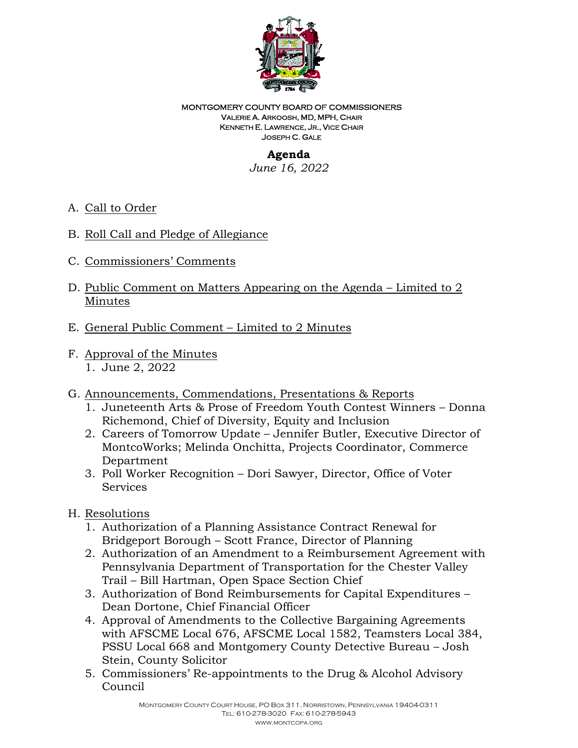

#### MONTGOMERY COUNTY BOARD OF COMMISSIONERS VALERIE A. ARKOOSH, MD, MPH, CHAIR KENNETH E. LAWRENCE, JR., VICE CHAIR JOSEPH C. GALE

# **Agenda**

*June 16, 2022* 

- A. Call to Order
- B. Roll Call and Pledge of Allegiance
- C. Commissioners' Comments
- D. Public Comment on Matters Appearing on the Agenda Limited to 2 Minutes
- E. General Public Comment Limited to 2 Minutes
- F. Approval of the Minutes 1. June 2, 2022
- G. Announcements, Commendations, Presentations & Reports
	- 1. Juneteenth Arts & Prose of Freedom Youth Contest Winners Donna Richemond, Chief of Diversity, Equity and Inclusion
	- 2. Careers of Tomorrow Update Jennifer Butler, Executive Director of MontcoWorks; Melinda Onchitta, Projects Coordinator, Commerce Department
	- 3. Poll Worker Recognition Dori Sawyer, Director, Office of Voter **Services**
- H. Resolutions
	- 1. Authorization of a Planning Assistance Contract Renewal for Bridgeport Borough – Scott France, Director of Planning
	- 2. Authorization of an Amendment to a Reimbursement Agreement with Pennsylvania Department of Transportation for the Chester Valley Trail – Bill Hartman, Open Space Section Chief
	- 3. Authorization of Bond Reimbursements for Capital Expenditures Dean Dortone, Chief Financial Officer
	- 4. Approval of Amendments to the Collective Bargaining Agreements with AFSCME Local 676, AFSCME Local 1582, Teamsters Local 384, PSSU Local 668 and Montgomery County Detective Bureau – Josh Stein, County Solicitor
	- 5. Commissioners' Re-appointments to the Drug & Alcohol Advisory Council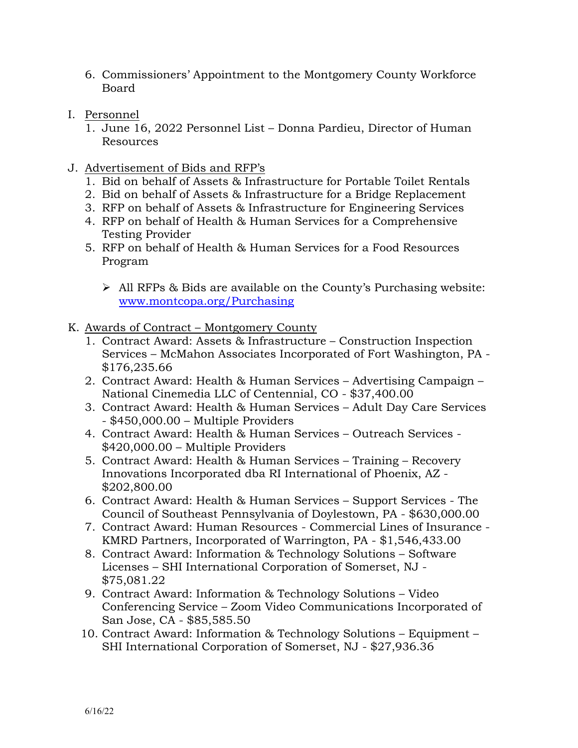- 6. Commissioners' Appointment to the Montgomery County Workforce Board
- I. Personnel
	- 1. June 16, 2022 Personnel List Donna Pardieu, Director of Human Resources
- J. Advertisement of Bids and RFP's
	- 1. Bid on behalf of Assets & Infrastructure for Portable Toilet Rentals
	- 2. Bid on behalf of Assets & Infrastructure for a Bridge Replacement
	- 3. RFP on behalf of Assets & Infrastructure for Engineering Services
	- 4. RFP on behalf of Health & Human Services for a Comprehensive Testing Provider
	- 5. RFP on behalf of Health & Human Services for a Food Resources Program
		- $\triangleright$  All RFPs & Bids are available on the County's Purchasing website: [www.montcopa.org/Purchasing](file://mcfs01/commishshare/Transition/Board%20Meetings%202021/11.4.21/www.montcopa.org/Purchasing)
- K. Awards of Contract Montgomery County
	- 1. Contract Award: Assets & Infrastructure Construction Inspection Services – McMahon Associates Incorporated of Fort Washington, PA - \$176,235.66
	- 2. Contract Award: Health & Human Services Advertising Campaign National Cinemedia LLC of Centennial, CO - \$37,400.00
	- 3. Contract Award: Health & Human Services Adult Day Care Services - \$450,000.00 – Multiple Providers
	- 4. Contract Award: Health & Human Services Outreach Services \$420,000.00 – Multiple Providers
	- 5. Contract Award: Health & Human Services Training Recovery Innovations Incorporated dba RI International of Phoenix, AZ - \$202,800.00
	- 6. Contract Award: Health & Human Services Support Services The Council of Southeast Pennsylvania of Doylestown, PA - \$630,000.00
	- 7. Contract Award: Human Resources Commercial Lines of Insurance KMRD Partners, Incorporated of Warrington, PA - \$1,546,433.00
	- 8. Contract Award: Information & Technology Solutions Software Licenses – SHI International Corporation of Somerset, NJ - \$75,081.22
	- 9. Contract Award: Information & Technology Solutions Video Conferencing Service – Zoom Video Communications Incorporated of San Jose, CA - \$85,585.50
	- 10. Contract Award: Information & Technology Solutions Equipment SHI International Corporation of Somerset, NJ - \$27,936.36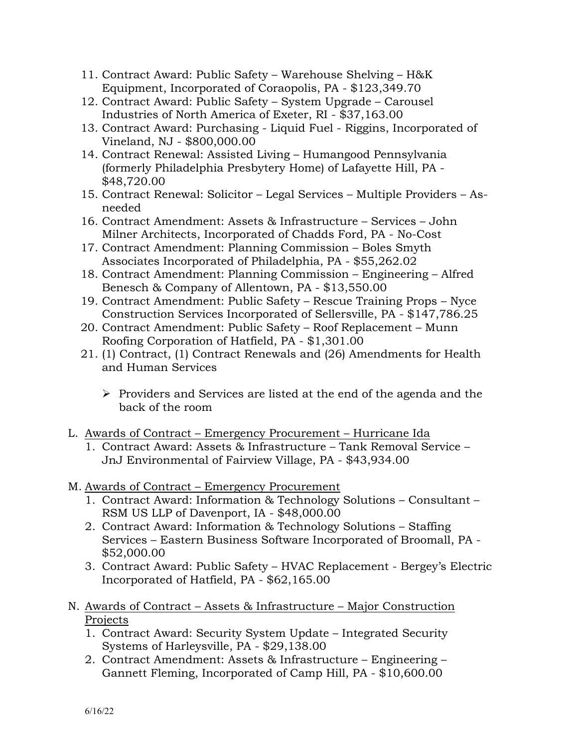- 11. Contract Award: Public Safety Warehouse Shelving H&K Equipment, Incorporated of Coraopolis, PA - \$123,349.70
- 12. Contract Award: Public Safety System Upgrade Carousel Industries of North America of Exeter, RI - \$37,163.00
- 13. Contract Award: Purchasing Liquid Fuel Riggins, Incorporated of Vineland, NJ - \$800,000.00
- 14. Contract Renewal: Assisted Living Humangood Pennsylvania (formerly Philadelphia Presbytery Home) of Lafayette Hill, PA - \$48,720.00
- 15. Contract Renewal: Solicitor Legal Services Multiple Providers Asneeded
- 16. Contract Amendment: Assets & Infrastructure Services John Milner Architects, Incorporated of Chadds Ford, PA - No-Cost
- 17. Contract Amendment: Planning Commission Boles Smyth Associates Incorporated of Philadelphia, PA - \$55,262.02
- 18. Contract Amendment: Planning Commission Engineering Alfred Benesch & Company of Allentown, PA - \$13,550.00
- 19. Contract Amendment: Public Safety Rescue Training Props Nyce Construction Services Incorporated of Sellersville, PA - \$147,786.25
- 20. Contract Amendment: Public Safety Roof Replacement Munn Roofing Corporation of Hatfield, PA - \$1,301.00
- 21. (1) Contract, (1) Contract Renewals and (26) Amendments for Health and Human Services
	- $\triangleright$  Providers and Services are listed at the end of the agenda and the back of the room
- L. Awards of Contract Emergency Procurement Hurricane Ida
	- 1. Contract Award: Assets & Infrastructure Tank Removal Service JnJ Environmental of Fairview Village, PA - \$43,934.00
- M. Awards of Contract Emergency Procurement
	- 1. Contract Award: Information & Technology Solutions Consultant RSM US LLP of Davenport, IA - \$48,000.00
	- 2. Contract Award: Information & Technology Solutions Staffing Services – Eastern Business Software Incorporated of Broomall, PA - \$52,000.00
	- 3. Contract Award: Public Safety HVAC Replacement Bergey's Electric Incorporated of Hatfield, PA - \$62,165.00
- N. Awards of Contract Assets & Infrastructure Major Construction Projects
	- 1. Contract Award: Security System Update Integrated Security Systems of Harleysville, PA - \$29,138.00
	- 2. Contract Amendment: Assets & Infrastructure Engineering Gannett Fleming, Incorporated of Camp Hill, PA - \$10,600.00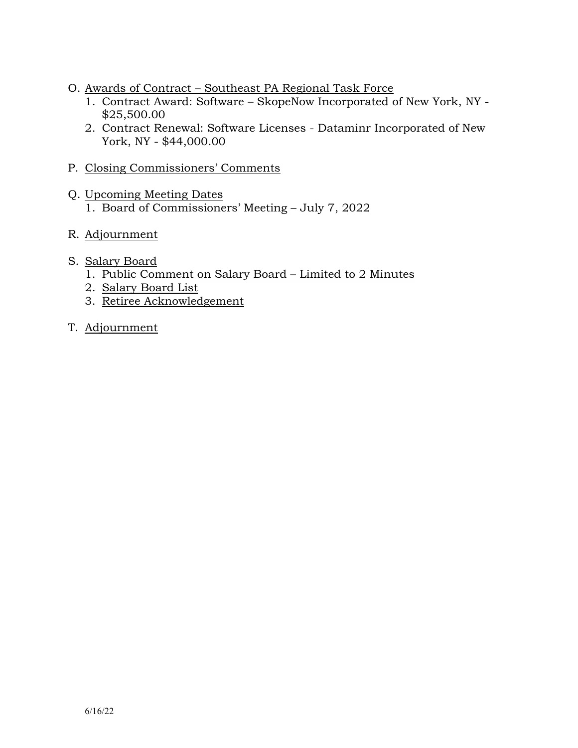- O. Awards of Contract Southeast PA Regional Task Force
	- 1. Contract Award: Software SkopeNow Incorporated of New York, NY \$25,500.00
	- 2. Contract Renewal: Software Licenses Dataminr Incorporated of New York, NY - \$44,000.00
- P. Closing Commissioners' Comments
- Q. Upcoming Meeting Dates 1. Board of Commissioners' Meeting – July 7, 2022
- R. Adjournment
- S. Salary Board
	- 1. Public Comment on Salary Board Limited to 2 Minutes
	- 2. Salary Board List
	- 3. Retiree Acknowledgement
- T. Adjournment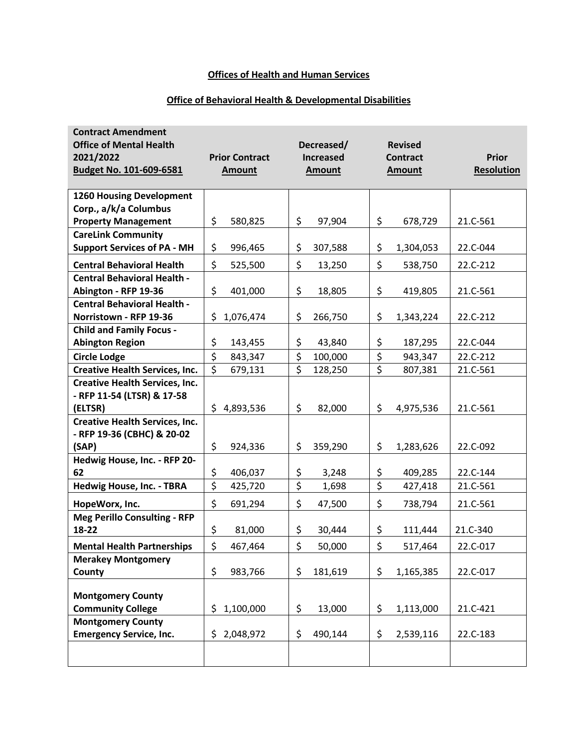# **Offices of Health and Human Services**

## **Office of Behavioral Health & Developmental Disabilities**

| <b>Contract Amendment</b><br><b>Office of Mental Health</b><br>2021/2022<br>Budget No. 101-609-6581 | <b>Prior Contract</b><br><b>Amount</b> | Decreased/<br><b>Increased</b><br><b>Amount</b> | <b>Revised</b><br><b>Contract</b><br><b>Amount</b> | <b>Prior</b><br><b>Resolution</b> |
|-----------------------------------------------------------------------------------------------------|----------------------------------------|-------------------------------------------------|----------------------------------------------------|-----------------------------------|
| <b>1260 Housing Development</b>                                                                     |                                        |                                                 |                                                    |                                   |
| Corp., a/k/a Columbus                                                                               |                                        |                                                 |                                                    |                                   |
| <b>Property Management</b>                                                                          | \$<br>580,825                          | \$<br>97,904                                    | \$<br>678,729                                      | 21.C-561                          |
| <b>CareLink Community</b>                                                                           |                                        |                                                 |                                                    |                                   |
| <b>Support Services of PA - MH</b>                                                                  | \$<br>996,465                          | \$<br>307,588                                   | \$<br>1,304,053                                    | 22.C-044                          |
| <b>Central Behavioral Health</b>                                                                    | \$<br>525,500                          | \$<br>13,250                                    | \$<br>538,750                                      | 22.C-212                          |
| <b>Central Behavioral Health -</b>                                                                  |                                        |                                                 |                                                    |                                   |
| Abington - RFP 19-36                                                                                | \$<br>401,000                          | \$<br>18,805                                    | \$<br>419,805                                      | 21.C-561                          |
| <b>Central Behavioral Health -</b>                                                                  |                                        |                                                 |                                                    |                                   |
| Norristown - RFP 19-36                                                                              | \$<br>1,076,474                        | \$<br>266,750                                   | \$<br>1,343,224                                    | 22.C-212                          |
| <b>Child and Family Focus -</b>                                                                     |                                        |                                                 |                                                    |                                   |
| <b>Abington Region</b>                                                                              | \$<br>143,455                          | \$<br>43,840                                    | \$<br>187,295                                      | 22.C-044                          |
| <b>Circle Lodge</b>                                                                                 | \$<br>843,347                          | \$<br>100,000                                   | \$<br>943,347                                      | 22.C-212                          |
| <b>Creative Health Services, Inc.</b>                                                               | \$<br>679,131                          | \$<br>128,250                                   | $\overline{\mathsf{S}}$<br>807,381                 | 21.C-561                          |
| <b>Creative Health Services, Inc.</b>                                                               |                                        |                                                 |                                                    |                                   |
| - RFP 11-54 (LTSR) & 17-58<br>(ELTSR)                                                               | \$4,893,536                            | \$<br>82,000                                    | \$<br>4,975,536                                    | 21.C-561                          |
| <b>Creative Health Services, Inc.</b>                                                               |                                        |                                                 |                                                    |                                   |
| - RFP 19-36 (CBHC) & 20-02                                                                          |                                        |                                                 |                                                    |                                   |
| (SAP)                                                                                               | \$<br>924,336                          | \$<br>359,290                                   | \$<br>1,283,626                                    | 22.C-092                          |
| Hedwig House, Inc. - RFP 20-                                                                        |                                        |                                                 |                                                    |                                   |
| 62                                                                                                  | \$<br>406,037                          | $\zeta$<br>3,248                                | \$<br>409,285                                      | 22.C-144                          |
| Hedwig House, Inc. - TBRA                                                                           | $\overline{\xi}$<br>425,720            | \$<br>1,698                                     | $\overline{\xi}$<br>427,418                        | 21.C-561                          |
| HopeWorx, Inc.                                                                                      | \$<br>691,294                          | \$<br>47,500                                    | \$<br>738,794                                      | 21.C-561                          |
| <b>Meg Perillo Consulting - RFP</b>                                                                 |                                        |                                                 |                                                    |                                   |
| 18-22                                                                                               | \$<br>81,000                           | \$<br>30,444                                    | \$<br>111,444                                      | 21.C-340                          |
| <b>Mental Health Partnerships</b>                                                                   | \$<br>467,464                          | \$<br>50,000                                    | \$<br>517,464                                      | 22.C-017                          |
| <b>Merakey Montgomery</b>                                                                           |                                        |                                                 |                                                    |                                   |
| County                                                                                              | \$<br>983,766                          | \$<br>181,619                                   | \$<br>1,165,385                                    | 22.C-017                          |
| <b>Montgomery County</b>                                                                            |                                        |                                                 |                                                    |                                   |
| <b>Community College</b>                                                                            | 1,100,000<br>\$                        | \$<br>13,000                                    | \$<br>1,113,000                                    | 21.C-421                          |
| <b>Montgomery County</b>                                                                            |                                        |                                                 |                                                    |                                   |
| <b>Emergency Service, Inc.</b>                                                                      | \$<br>2,048,972                        | \$<br>490,144                                   | \$<br>2,539,116                                    | 22.C-183                          |
|                                                                                                     |                                        |                                                 |                                                    |                                   |
|                                                                                                     |                                        |                                                 |                                                    |                                   |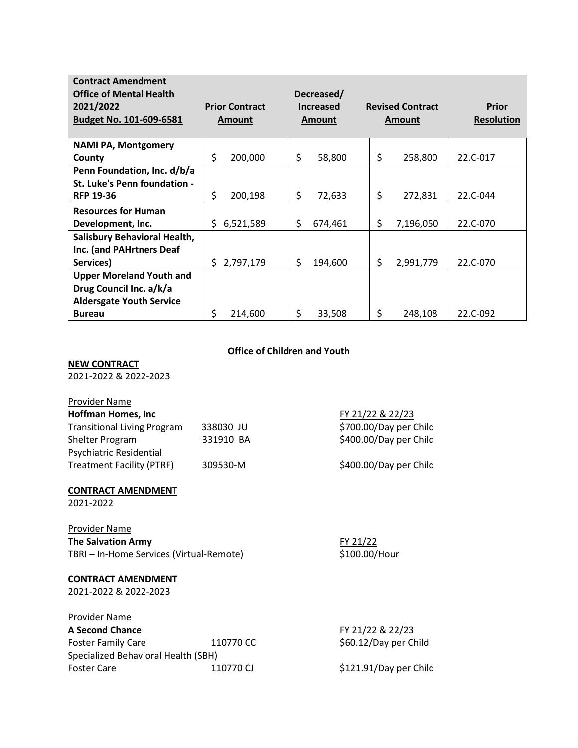| <b>Contract Amendment</b>       |                       |                                |                         |                   |
|---------------------------------|-----------------------|--------------------------------|-------------------------|-------------------|
| <b>Office of Mental Health</b>  |                       | Decreased/                     |                         |                   |
| 2021/2022                       | <b>Prior Contract</b> | <b>Increased</b>               | <b>Revised Contract</b> | <b>Prior</b>      |
| Budget No. 101-609-6581         | <b>Amount</b>         | <b>Amount</b><br><b>Amount</b> |                         | <b>Resolution</b> |
|                                 |                       |                                |                         |                   |
| <b>NAMI PA, Montgomery</b>      |                       |                                |                         |                   |
| County                          | \$<br>200,000         | \$<br>58,800                   | \$<br>258,800           | 22.C-017          |
| Penn Foundation, Inc. d/b/a     |                       |                                |                         |                   |
| St. Luke's Penn foundation -    |                       |                                |                         |                   |
| <b>RFP 19-36</b>                | \$<br>200,198         | \$<br>72,633                   | \$<br>272,831           | 22.C-044          |
| <b>Resources for Human</b>      |                       |                                |                         |                   |
| Development, Inc.               | 6,521,589<br>S.       | \$<br>674,461                  | \$<br>7,196,050         | 22.C-070          |
| Salisbury Behavioral Health,    |                       |                                |                         |                   |
| Inc. (and PAHrtners Deaf        |                       |                                |                         |                   |
| Services)                       | 2,797,179<br>S.       | \$<br>194,600                  | \$<br>2,991,779         | 22.C-070          |
| <b>Upper Moreland Youth and</b> |                       |                                |                         |                   |
| Drug Council Inc. a/k/a         |                       |                                |                         |                   |
| <b>Aldersgate Youth Service</b> |                       |                                |                         |                   |
| <b>Bureau</b>                   | \$<br>214,600         | \$<br>33,508                   | \$<br>248,108           | 22.C-092          |

### **Office of Children and Youth**

#### **NEW CONTRACT**

2021-2022 & 2022-2023

# **Provider Name**<br>Hoffman Home

| Hoffman Homes, Inc.                |           |
|------------------------------------|-----------|
| <b>Transitional Living Program</b> | 338030 JL |
| Shelter Program                    | 331910 B  |
| Psychiatric Residential            |           |
| <b>Treatment Facility (PTRF)</b>   | 309530-M  |

#### **CONTRACT AMENDMEN**T

2021-2022

### Provider Name **The Salvation Army FY 21/22**

TBRI – In-Home Services (Virtual-Remote) \$100.00/Hour

#### **CONTRACT AMENDMENT**

2021-2022 & 2022-2023

# Provider Name

Foster Family Care 110770 CC \$60.12/Day per Child Specialized Behavioral Health (SBH) Foster Care 110770 CJ \$121.91/Day per Child

**Hoffman Homes, Inc** FY 21/22 & 22/23 Transitional Living Program 338030 JU \$700.00/Day per Child A \$400.00/Day per Child

\$400.00/Day per Child

**A Second Chance** FY 21/22 & 22/23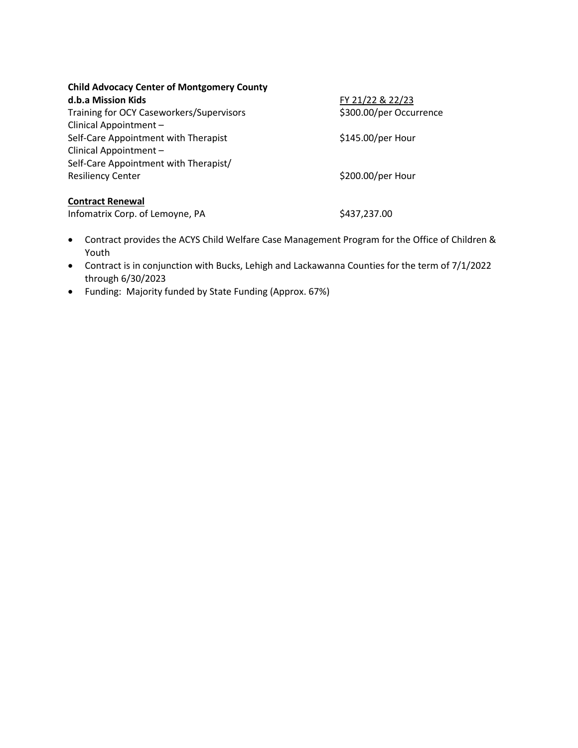| <b>Child Advocacy Center of Montgomery County</b> |  |  |  |
|---------------------------------------------------|--|--|--|
|---------------------------------------------------|--|--|--|

**d.b.a Mission Kids FY 21/22 & 22/23** Training for OCY Caseworkers/Supervisors \$300.00/per Occurrence Clinical Appointment – Self-Care Appointment with Therapist  $$145.00/per$  Hour Clinical Appointment – Self-Care Appointment with Therapist/ Resiliency Center **1992** Center **1993** Center **\$200.00/per Hour** 

## **Contract Renewal**

Infomatrix Corp. of Lemoyne, PA  $$437,237.00$ 

- Contract provides the ACYS Child Welfare Case Management Program for the Office of Children & Youth
- Contract is in conjunction with Bucks, Lehigh and Lackawanna Counties for the term of 7/1/2022 through 6/30/2023
- Funding: Majority funded by State Funding (Approx. 67%)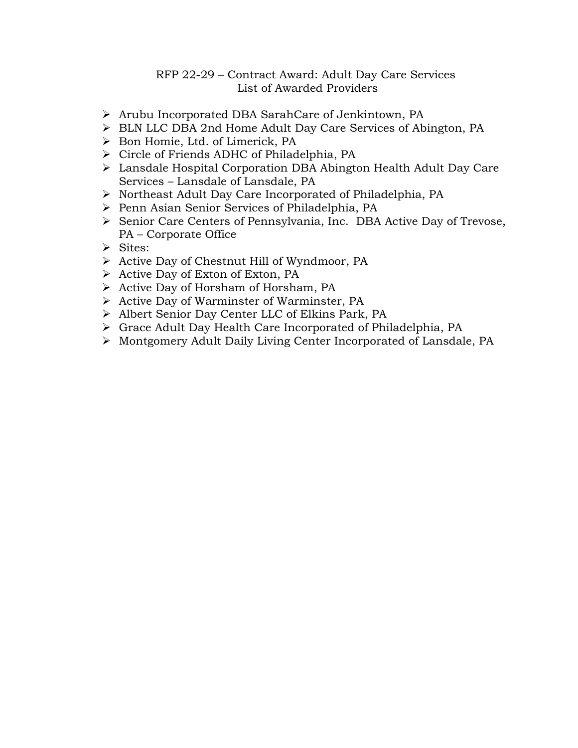## RFP 22-29 – Contract Award: Adult Day Care Services List of Awarded Providers

- Arubu Incorporated DBA SarahCare of Jenkintown, PA
- > BLN LLC DBA 2nd Home Adult Day Care Services of Abington, PA
- Bon Homie, Ltd. of Limerick, PA
- > Circle of Friends ADHC of Philadelphia, PA
- Lansdale Hospital Corporation DBA Abington Health Adult Day Care Services – Lansdale of Lansdale, PA
- Northeast Adult Day Care Incorporated of Philadelphia, PA
- Penn Asian Senior Services of Philadelphia, PA
- > Senior Care Centers of Pennsylvania, Inc. DBA Active Day of Trevose, PA – Corporate Office
- $\triangleright$  Sites:
- Active Day of Chestnut Hill of Wyndmoor, PA
- > Active Day of Exton of Exton, PA
- > Active Day of Horsham of Horsham, PA
- $\triangleright$  Active Day of Warminster of Warminster, PA
- Albert Senior Day Center LLC of Elkins Park, PA
- Grace Adult Day Health Care Incorporated of Philadelphia, PA
- Montgomery Adult Daily Living Center Incorporated of Lansdale, PA